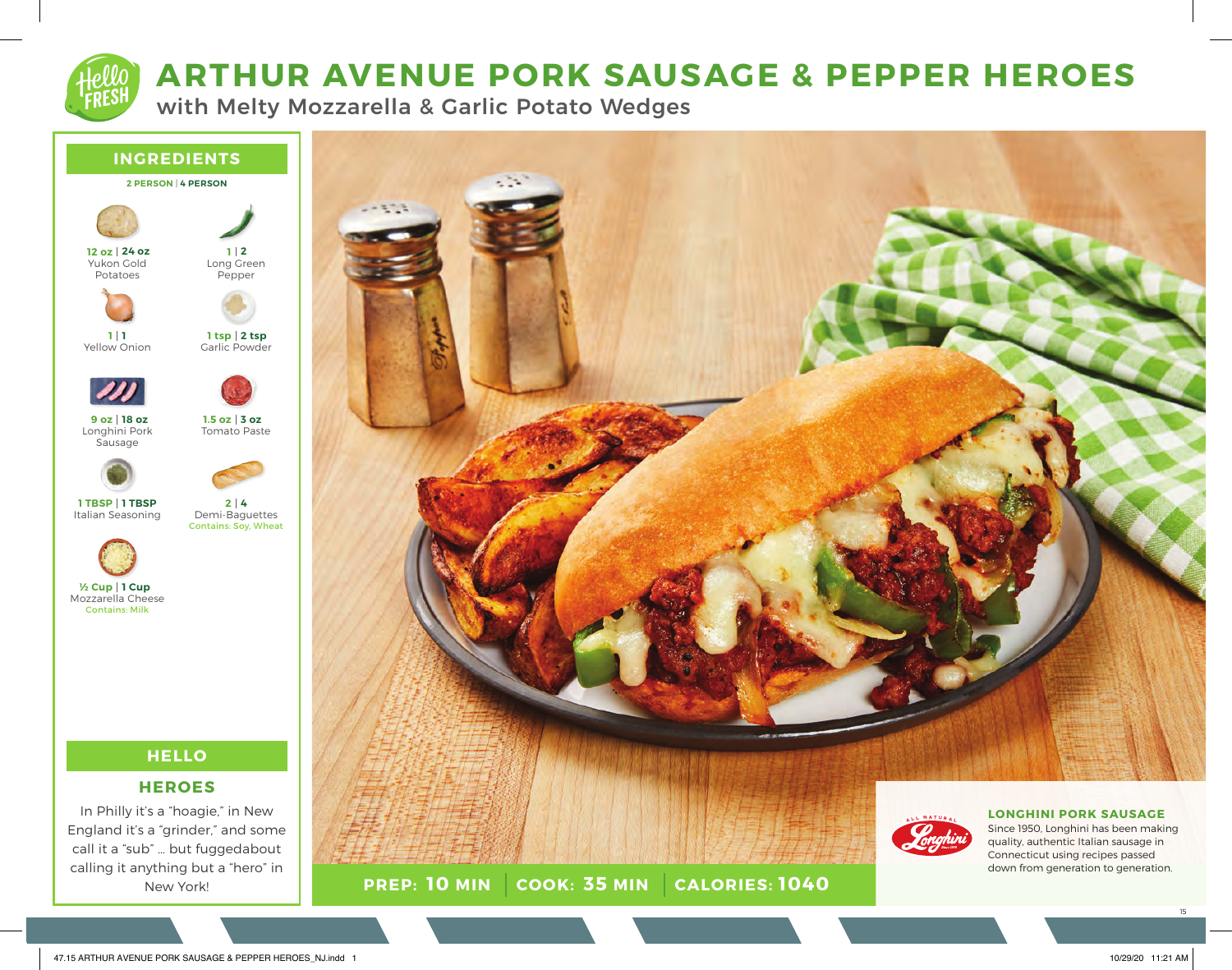

# **ARTHUR AVENUE PORK SAUSAGE & PEPPER HEROES**

with Melty Mozzarella & Garlic Potato Wedges

**PREP: 10 MIN COOK: 35 MIN** 



**10 MIN 35 MIN 1040**

In Philly it's a "hoagie," in New England it's a "grinder," and some call it a "sub" … but fuggedabout calling it anything but a "hero" in New York!

Since 1950, Longhini has been making quality, authentic Italian sausage in Connecticut using recipes passed down from generation to generation.

**LONGHINI PORK SAUSAGE** 

ALL NATURAL

15